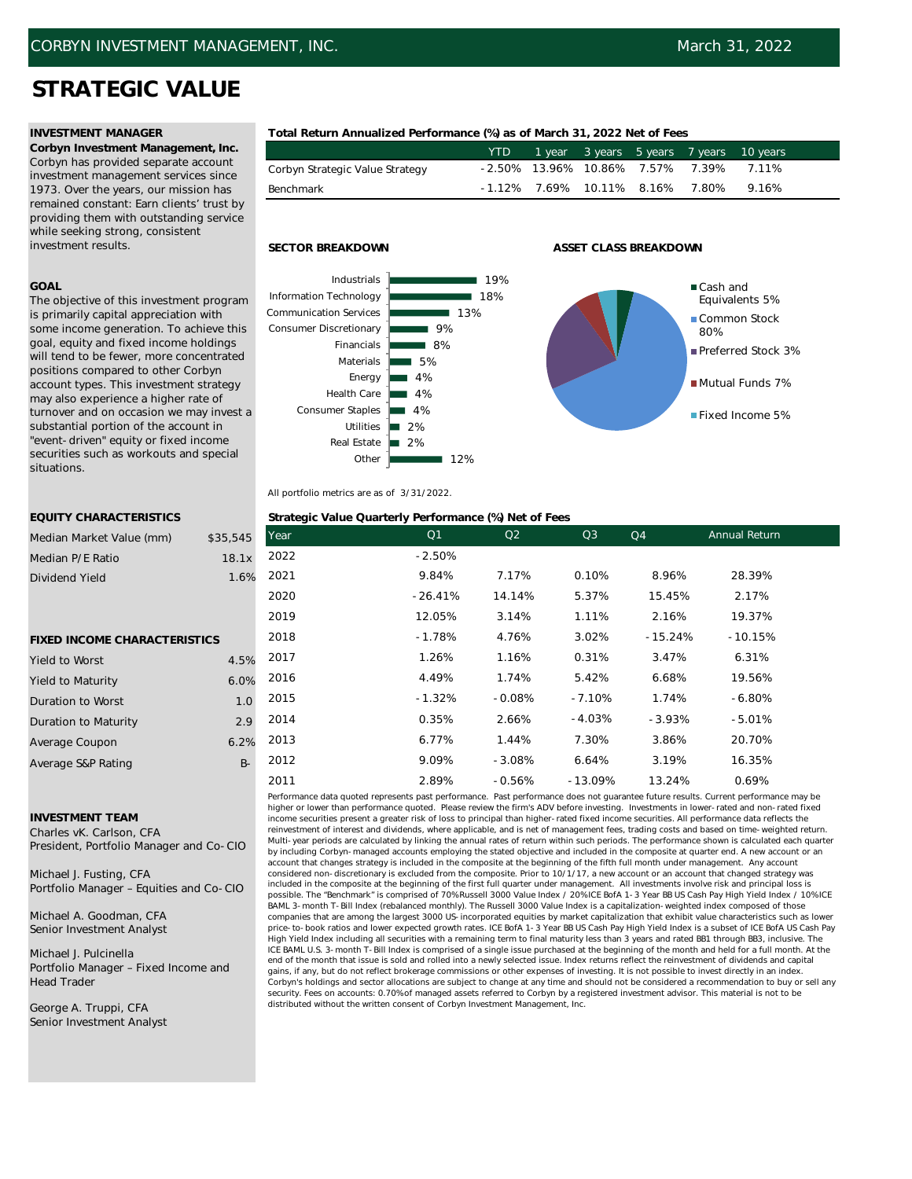# **STRATEGIC VALUE**

**Corbyn Investment Management, Inc.** Corbyn has provided separate account investment management services since 1973. Over the years, our mission has remained constant: Earn clients' trust by providing them with outstanding service while seeking strong, consistent investment results.

### **GOAL**

The objective of this investment program is primarily capital appreciation with some income generation. To achieve this goal, equity and fixed income holdings will tend to be fewer, more concentrated positions compared to other Corbyn account types. This investment strategy may also experience a higher rate of turnover and on occasion we may invest a substantial portion of the account in "event-driven" equity or fixed income securities such as workouts and special situations.

## **INVESTMENT MANAGER Total Return Annualized Performance (%) as of March 31, 2022 Net of Fees**

|                                 | YTD      | 1 year 3 years 5 years 7 years |       | 10 years |
|---------------------------------|----------|--------------------------------|-------|----------|
| Corbyn Strategic Value Strategy |          | -2.50% 13.96% 10.86% 7.57%     | 7.39% | 7.11%    |
| Benchmark                       | $-1.12%$ | 7.69% 10.11% 8.16%             | 7.80% | 9.16%    |



## **SECTOR BREAKDOWN ASSET CLASS BREAKDOWN**



All portfolio metrics are as of 3/31/2022.

## **EQUITY CHARACTERISTICS Strategic Value Quarterly Performance (%) Net of Fees**

| --------------------------          |          |      | $\frac{1}{2}$  |                |           |           |                      |  |
|-------------------------------------|----------|------|----------------|----------------|-----------|-----------|----------------------|--|
| Median Market Value (mm)            | \$35,545 | Year | Q <sub>1</sub> | Q <sub>2</sub> | Q3        | Q4        | <b>Annual Return</b> |  |
| Median P/E Ratio                    | 18.1x    | 2022 | $-2.50%$       |                |           |           |                      |  |
| Dividend Yield                      | 1.6%     | 2021 | 9.84%          | 7.17%          | 0.10%     | 8.96%     | 28.39%               |  |
|                                     |          | 2020 | $-26.41%$      | 14.14%         | 5.37%     | 15.45%    | 2.17%                |  |
|                                     |          | 2019 | 12.05%         | 3.14%          | 1.11%     | 2.16%     | 19.37%               |  |
| <b>FIXED INCOME CHARACTERISTICS</b> |          | 2018 | $-1.78%$       | 4.76%          | 3.02%     | $-15.24%$ | $-10.15%$            |  |
| Yield to Worst                      | 4.5%     | 2017 | 1.26%          | 1.16%          | 0.31%     | 3.47%     | 6.31%                |  |
| Yield to Maturity                   | 6.0%     | 2016 | 4.49%          | 1.74%          | 5.42%     | 6.68%     | 19.56%               |  |
| Duration to Worst                   | 1.0      | 2015 | $-1.32%$       | $-0.08%$       | $-7.10%$  | 1.74%     | $-6.80%$             |  |
| <b>Duration to Maturity</b>         | 2.9      | 2014 | 0.35%          | 2.66%          | $-4.03%$  | $-3.93%$  | $-5.01%$             |  |
| Average Coupon                      | 6.2%     | 2013 | 6.77%          | 1.44%          | 7.30%     | 3.86%     | 20.70%               |  |
| Average S&P Rating                  | $B -$    | 2012 | 9.09%          | $-3.08%$       | 6.64%     | 3.19%     | 16.35%               |  |
|                                     |          | 2011 | 2.89%          | $-0.56%$       | $-13.09%$ | 13.24%    | 0.69%                |  |

### **INVESTMENT TEAM**

Charles vK. Carlson, CFA President, Portfolio Manager and Co-CIO

Michael J. Fusting, CFA Portfolio Manager – Equities and Co-CIO

Michael A. Goodman, CFA Senior Investment Analyst

Michael J. Pulcinella Portfolio Manager – Fixed Income and Head Trader

George A. Truppi, CFA Senior Investment Analyst

Performance data quoted represents past performance. Past performance does not guarantee future results. Current performance may be higher or lower than performance quoted. Please review the firm's ADV before investing. Investments in lower-rated and non-rated fixed income securities present a greater risk of loss to principal than higher-rated fixed income securities. All performance data reflects the reinvestment of interest and dividends, where applicable, and is net of management fees, trading costs and based on time-weighted return. Multi-year periods are calculated by linking the annual rates of return within such periods. The performance shown is calculated each quarter by including Corbyn-managed accounts employing the stated objective and included in the composite at quarter end. A new account or an account that changes strategy is included in the composite at the beginning of the fifth full month under management. Any account considered non-discretionary is excluded from the composite. Prior to 10/1/17, a new account or an account that changed strategy was included in the composite at the beginning of the first full quarter under management. All investments involve risk and principal loss is possible. The "Benchmark" is comprised of 70% Russell 3000 Value Index / 20% ICE BofA 1-3 Year BB US Cash Pay High Yield Index / 10% ICE BAML 3-month T-Bill Index (rebalanced monthly). The Russell 3000 Value Index is a capitalization-weighted index composed of those companies that are among the largest 3000 US-incorporated equities by market capitalization that exhibit value characteristics such as lower price-to-book ratios and lower expected growth rates. ICE BofA 1-3 Year BB US Cash Pay High Yield Index is a subset of ICE BofA US Cash Pay High Yield Index including all securities with a remaining term to final maturity less than 3 years and rated BB1 through BB3, inclusive. The ICE BAML U.S. 3-month T-Bill Index is comprised of a single issue purchased at the beginning of the month and held for a full month. At the end of the month that issue is sold and rolled into a newly selected issue. Index returns reflect the reinvestment of dividends and capital gains, if any, but do not reflect brokerage commissions or other expenses of investing. It is not possible to invest directly in an index. Corbyn's holdings and sector allocations are subject to change at any time and should not be considered a recommendation to buy or sell any security. Fees on accounts: 0.70% of managed assets referred to Corbyn by a registered investment advisor. This material is not to be distributed without the written consent of Corbyn Investment Management, Inc.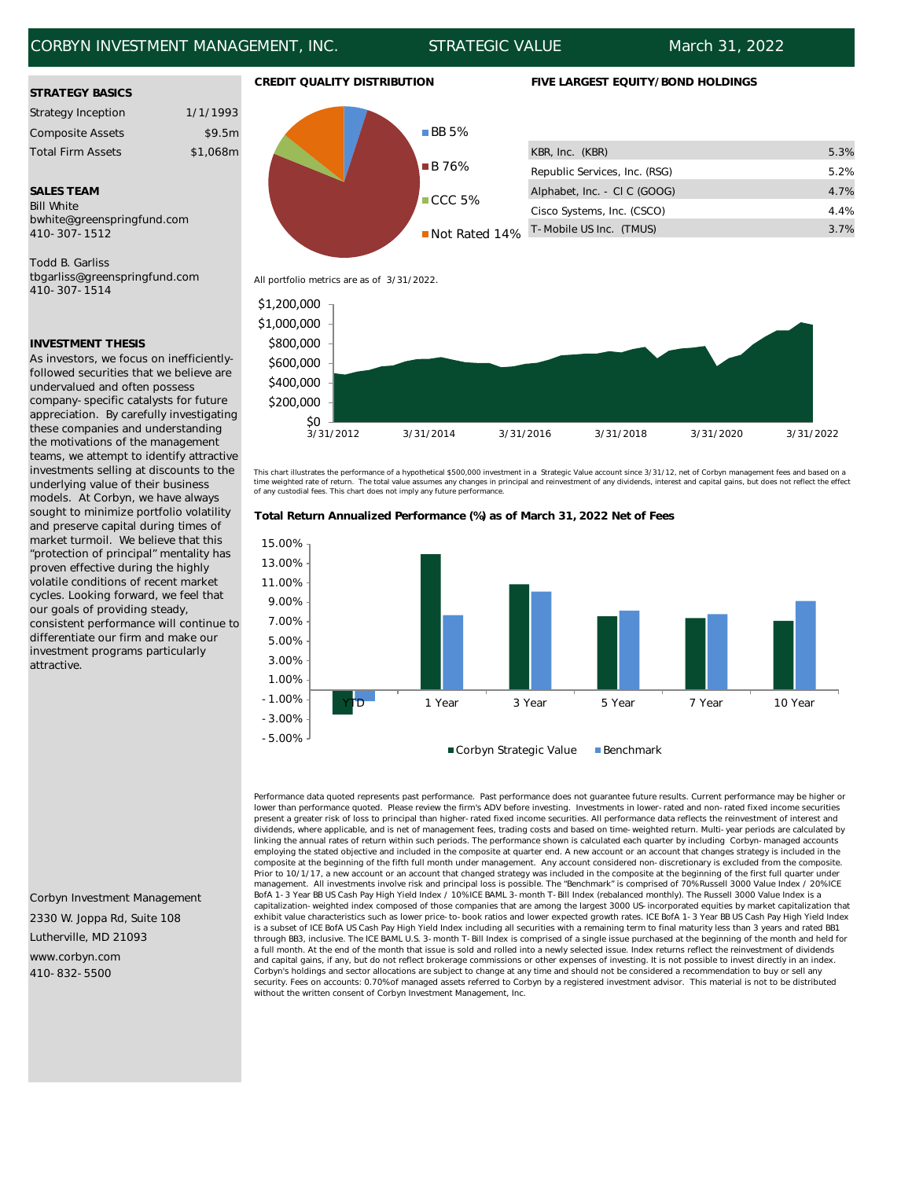## CORBYN INVESTMENT MANAGEMENT, INC. STRATEGIC VALUE March 31, 2022

### **STRATEGY BASICS**

| <b>Strategy Inception</b> | 1/1/1993 |
|---------------------------|----------|
| <b>Composite Assets</b>   | \$9.5m   |
| <b>Total Firm Assets</b>  | \$1,068m |

Bill White bwhite@greenspringfund.com 410-307-1512

Todd B. Garliss tbgarliss@greenspringfund.com 410-307-1514

## **INVESTMENT THESIS**

As investors, we focus on inefficientlyfollowed securities that we believe are undervalued and often possess company-specific catalysts for future appreciation. By carefully investigating these companies and understanding the motivations of the management teams, we attempt to identify attractive investments selling at discounts to the underlying value of their business models. At Corbyn, we have always sought to minimize portfolio volatility and preserve capital during times of market turmoil. We believe that this "protection of principal" mentality has proven effective during the highly volatile conditions of recent market cycles. Looking forward, we feel that our goals of providing steady, consistent performance will continue to differentiate our firm and make our investment programs particularly attractive.

Corbyn Investment Management 2330 W. Joppa Rd, Suite 108 Lutherville, MD 21093 www.corbyn.com 410-832-5500



All portfolio metrics are as of 3/31/2022.



This chart illustrates the performance of a hypothetical \$500,000 investment in a Strategic Value account since 3/31/12, net of Corbyn management fees and based on a time weighted rate of return. The total value assumes any changes in principal and reinvestment of any dividends, interest and capital gains, but does not reflect the effect<br>of any custodial fees. This chart does not imply





Performance data quoted represents past performance. Past performance does not guarantee future results. Current performance may be higher or lower than performance quoted. Please review the firm's ADV before investing. Investments in lower-rated and non-rated fixed income securities present a greater risk of loss to principal than higher-rated fixed income securities. All performance data reflects the reinvestment of interest and dividends, where applicable, and is net of management fees, trading costs and based on time-weighted return. Multi-year periods are calculated by linking the annual rates of return within such periods. The performance shown is calculated each quarter by including Corbyn-managed accounts employing the stated objective and included in the composite at quarter end. A new account or an account that changes strategy is included in the composite at the beginning of the fifth full month under management. Any account considered non-discretionary is excluded from the composite. Prior to 10/1/17, a new account or an account that changed strategy was included in the composite at the beginning of the first full quarter under management. All investments involve risk and principal loss is possible. The "Benchmark" is comprised of 70% Russell 3000 Value Index / 20% ICE BofA 1-3 Year BB US Cash Pay High Yield Index / 10% ICE BAML 3-month T-Bill Index (rebalanced monthly). The Russell 3000 Value Index is a capitalization-weighted index composed of those companies that are among the largest 3000 US-incorporated equities by market capitalization that exhibit value characteristics such as lower price-to-book ratios and lower expected growth rates. ICE BofA 1-3 Year BB US Cash Pay High Yield Index is a subset of ICE BofA US Cash Pay High Yield Index including all securities with a remaining term to final maturity less than 3 years and rated BB1 through BB3, inclusive. The ICE BAML U.S. 3-month T-Bill Index is comprised of a single issue purchased at the beginning of the month and held for a full month. At the end of the month that issue is sold and rolled into a newly selected issue. Index returns reflect the reinvestment of dividends and capital gains, if any, but do not reflect brokerage commissions or other expenses of investing. It is not possible to invest directly in an index. Corbyn's holdings and sector allocations are subject to change at any time and should not be considered a recommendation to buy or sell any security. Fees on accounts: 0.70% of managed assets referred to Corbyn by a registered investment advisor. This material is not to be distributed without the written consent of Corbyn Investment Management, Inc.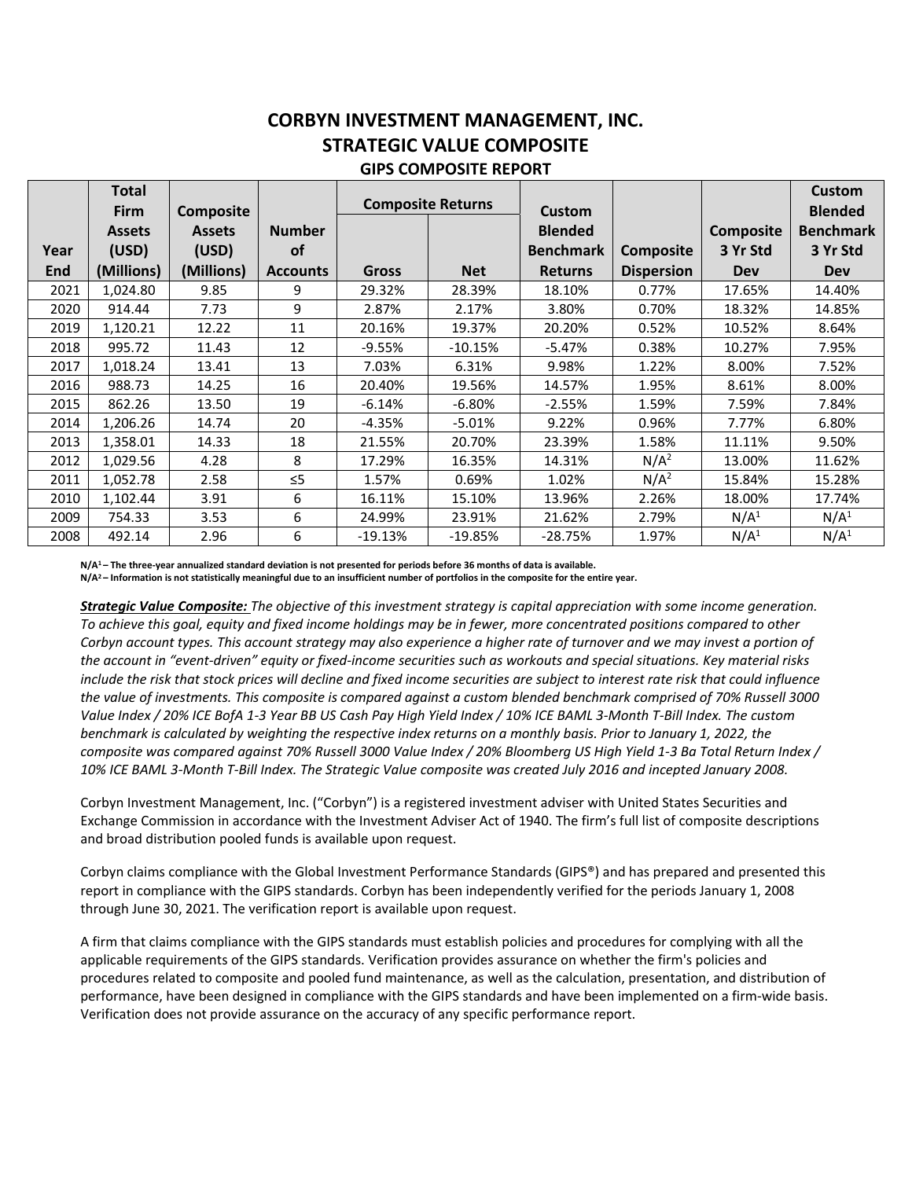## **CORBYN INVESTMENT MANAGEMENT, INC. STRATEGIC VALUE COMPOSITE GIPS COMPOSITE REPORT**

|      | Total<br><b>Firm</b> | <b>Composite</b> |                 | <b>Composite Returns</b> |            | <b>Custom</b>    |                   |                  | Custom<br><b>Blended</b> |
|------|----------------------|------------------|-----------------|--------------------------|------------|------------------|-------------------|------------------|--------------------------|
|      | <b>Assets</b>        | <b>Assets</b>    | <b>Number</b>   |                          |            | <b>Blended</b>   |                   | <b>Composite</b> | <b>Benchmark</b>         |
| Year | (USD)                | (USD)            | of              |                          |            | <b>Benchmark</b> | <b>Composite</b>  | 3 Yr Std         | 3 Yr Std                 |
| End  | (Millions)           | (Millions)       | <b>Accounts</b> | <b>Gross</b>             | <b>Net</b> | <b>Returns</b>   | <b>Dispersion</b> | <b>Dev</b>       | <b>Dev</b>               |
| 2021 | 1,024.80             | 9.85             | 9               | 29.32%                   | 28.39%     | 18.10%           | 0.77%             | 17.65%           | 14.40%                   |
| 2020 | 914.44               | 7.73             | 9               | 2.87%                    | 2.17%      | 3.80%            | 0.70%             | 18.32%           | 14.85%                   |
| 2019 | 1,120.21             | 12.22            | 11              | 20.16%                   | 19.37%     | 20.20%           | 0.52%             | 10.52%           | 8.64%                    |
| 2018 | 995.72               | 11.43            | 12              | $-9.55%$                 | $-10.15%$  | $-5.47%$         | 0.38%             | 10.27%           | 7.95%                    |
| 2017 | 1,018.24             | 13.41            | 13              | 7.03%                    | 6.31%      | 9.98%            | 1.22%             | 8.00%            | 7.52%                    |
| 2016 | 988.73               | 14.25            | 16              | 20.40%                   | 19.56%     | 14.57%           | 1.95%             | 8.61%            | 8.00%                    |
| 2015 | 862.26               | 13.50            | 19              | -6.14%                   | $-6.80%$   | $-2.55%$         | 1.59%             | 7.59%            | 7.84%                    |
| 2014 | 1,206.26             | 14.74            | 20              | $-4.35%$                 | $-5.01%$   | 9.22%            | 0.96%             | 7.77%            | 6.80%                    |
| 2013 | 1,358.01             | 14.33            | 18              | 21.55%                   | 20.70%     | 23.39%           | 1.58%             | 11.11%           | 9.50%                    |
| 2012 | 1,029.56             | 4.28             | 8               | 17.29%                   | 16.35%     | 14.31%           | N/A <sup>2</sup>  | 13.00%           | 11.62%                   |
| 2011 | 1,052.78             | 2.58             | $\leq$ 5        | 1.57%                    | 0.69%      | 1.02%            | N/A <sup>2</sup>  | 15.84%           | 15.28%                   |
| 2010 | 1,102.44             | 3.91             | 6               | 16.11%                   | 15.10%     | 13.96%           | 2.26%             | 18.00%           | 17.74%                   |
| 2009 | 754.33               | 3.53             | 6               | 24.99%                   | 23.91%     | 21.62%           | 2.79%             | N/A <sup>1</sup> | N/A <sup>1</sup>         |
| 2008 | 492.14               | 2.96             | 6               | $-19.13%$                | $-19.85%$  | $-28.75%$        | 1.97%             | N/A <sup>1</sup> | N/A <sup>1</sup>         |

**N/A1 – The three-year annualized standard deviation is not presented for periods before 36 months of data is available.** 

**N/A2 – Information is not statistically meaningful due to an insufficient number of portfolios in the composite for the entire year.** 

*Strategic Value Composite: The objective of this investment strategy is capital appreciation with some income generation. To achieve this goal, equity and fixed income holdings may be in fewer, more concentrated positions compared to other Corbyn account types. This account strategy may also experience a higher rate of turnover and we may invest a portion of the account in "event-driven" equity or fixed-income securities such as workouts and special situations. Key material risks include the risk that stock prices will decline and fixed income securities are subject to interest rate risk that could influence the value of investments. This composite is compared against a custom blended benchmark comprised of 70% Russell 3000 Value Index / 20% ICE BofA 1-3 Year BB US Cash Pay High Yield Index / 10% ICE BAML 3-Month T-Bill Index. The custom benchmark is calculated by weighting the respective index returns on a monthly basis. Prior to January 1, 2022, the composite was compared against 70% Russell 3000 Value Index / 20% Bloomberg US High Yield 1-3 Ba Total Return Index / 10% ICE BAML 3-Month T-Bill Index. The Strategic Value composite was created July 2016 and incepted January 2008.* 

Corbyn Investment Management, Inc. ("Corbyn") is a registered investment adviser with United States Securities and Exchange Commission in accordance with the Investment Adviser Act of 1940. The firm's full list of composite descriptions and broad distribution pooled funds is available upon request.

Corbyn claims compliance with the Global Investment Performance Standards (GIPS®) and has prepared and presented this report in compliance with the GIPS standards. Corbyn has been independently verified for the periods January 1, 2008 through June 30, 2021. The verification report is available upon request.

A firm that claims compliance with the GIPS standards must establish policies and procedures for complying with all the applicable requirements of the GIPS standards. Verification provides assurance on whether the firm's policies and procedures related to composite and pooled fund maintenance, as well as the calculation, presentation, and distribution of performance, have been designed in compliance with the GIPS standards and have been implemented on a firm-wide basis. Verification does not provide assurance on the accuracy of any specific performance report.